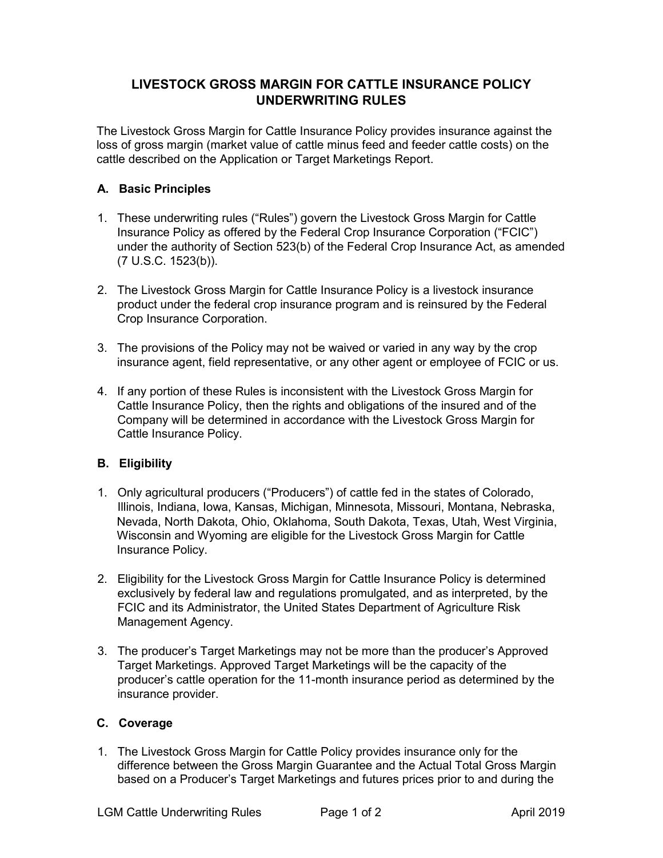## **LIVESTOCK GROSS MARGIN FOR CATTLE INSURANCE POLICY UNDERWRITING RULES**

The Livestock Gross Margin for Cattle Insurance Policy provides insurance against the loss of gross margin (market value of cattle minus feed and feeder cattle costs) on the cattle described on the Application or Target Marketings Report.

## **A. Basic Principles**

- 1. These underwriting rules ("Rules") govern the Livestock Gross Margin for Cattle Insurance Policy as offered by the Federal Crop Insurance Corporation ("FCIC") under the authority of Section 523(b) of the Federal Crop Insurance Act, as amended (7 U.S.C. 1523(b)).
- 2. The Livestock Gross Margin for Cattle Insurance Policy is a livestock insurance product under the federal crop insurance program and is reinsured by the Federal Crop Insurance Corporation.
- 3. The provisions of the Policy may not be waived or varied in any way by the crop insurance agent, field representative, or any other agent or employee of FCIC or us.
- 4. If any portion of these Rules is inconsistent with the Livestock Gross Margin for Cattle Insurance Policy, then the rights and obligations of the insured and of the Company will be determined in accordance with the Livestock Gross Margin for Cattle Insurance Policy.

## **B. Eligibility**

- 1. Only agricultural producers ("Producers") of cattle fed in the states of Colorado, Illinois, Indiana, Iowa, Kansas, Michigan, Minnesota, Missouri, Montana, Nebraska, Nevada, North Dakota, Ohio, Oklahoma, South Dakota, Texas, Utah, West Virginia, Wisconsin and Wyoming are eligible for the Livestock Gross Margin for Cattle Insurance Policy.
- 2. Eligibility for the Livestock Gross Margin for Cattle Insurance Policy is determined exclusively by federal law and regulations promulgated, and as interpreted, by the FCIC and its Administrator, the United States Department of Agriculture Risk Management Agency.
- 3. The producer's Target Marketings may not be more than the producer's Approved Target Marketings. Approved Target Marketings will be the capacity of the producer's cattle operation for the 11-month insurance period as determined by the insurance provider.

## **C. Coverage**

1. The Livestock Gross Margin for Cattle Policy provides insurance only for the difference between the Gross Margin Guarantee and the Actual Total Gross Margin based on a Producer's Target Marketings and futures prices prior to and during the